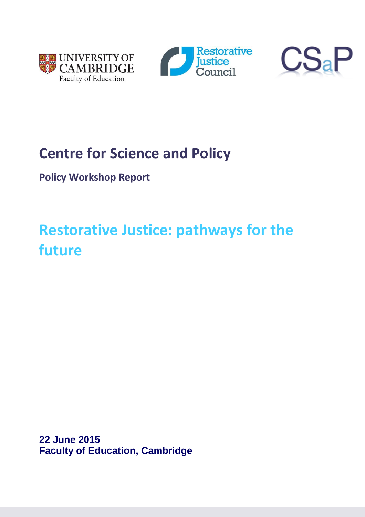





## **Centre for Science and Policy**

**Policy Workshop Report**

# **Restorative Justice: pathways for the future**

**22 June 2015 Faculty of Education, Cambridge**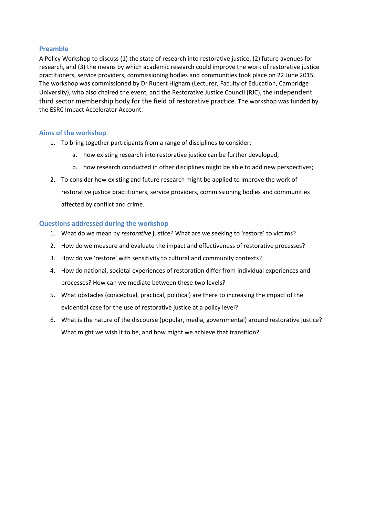#### **Preamble**

A Policy Workshop to discuss (1) the state of research into restorative justice, (2) future avenues for research, and (3) the means by which academic research could improve the work of restorative justice practitioners, service providers, commissioning bodies and communities took place on 22 June 2015. The workshop was commissioned by Dr Rupert Higham (Lecturer, Faculty of Education, Cambridge University), who also chaired the event, and the Restorative Justice Council (RJC), the independent third sector membership body for the field of restorative practice. The workshop was funded by the ESRC Impact Accelerator Account.

#### **Aims of the workshop**

- 1. To bring together participants from a range of disciplines to consider:
	- a. how existing research into restorative justice can be further developed,
	- b. how research conducted in other disciplines might be able to add new perspectives;
- 2. To consider how existing and future research might be applied to improve the work of restorative justice practitioners, service providers, commissioning bodies and communities affected by conflict and crime.

#### **Questions addressed during the workshop**

- 1. What do we mean by *restorative* justice? What are we seeking to 'restore' to victims?
- 2. How do we measure and evaluate the impact and effectiveness of restorative processes?
- 3. How do we 'restore' with sensitivity to cultural and community contexts?
- 4. How do national, societal experiences of restoration differ from individual experiences and processes? How can we mediate between these two levels?
- 5. What obstacles (conceptual, practical, political) are there to increasing the impact of the evidential case for the use of restorative justice at a policy level?
- 6. What is the nature of the discourse (popular, media, governmental) around restorative justice? What might we wish it to be, and how might we achieve that transition?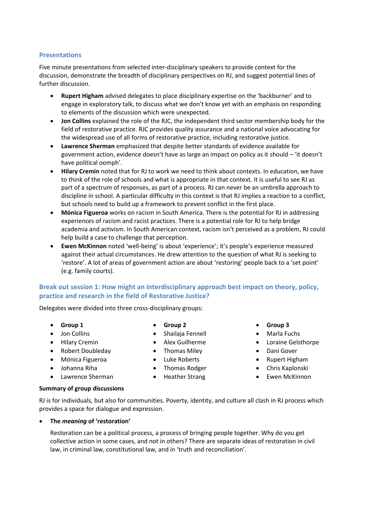#### **Presentations**

Five minute presentations from selected inter-disciplinary speakers to provide context for the discussion, demonstrate the breadth of disciplinary perspectives on RJ, and suggest potential lines of further discussion.

- **Rupert Higham** advised delegates to place disciplinary expertise on the 'backburner' and to engage in exploratory talk, to discuss what we don't know yet with an emphasis on responding to elements of the discussion which were unexpected.
- **Jon Collins** explained the role of the RJC, the independent third sector membership body for the field of restorative practice. RJC provides quality assurance and a national voice advocating for the widespread use of all forms of restorative practice, including restorative justice.
- **Lawrence Sherman** emphasized that despite better standards of evidence available for government action, evidence doesn't have as large an impact on policy as it should – 'it doesn't have political oomph'.
- **Hilary Cremin** noted that for RJ to work we need to think about contexts. In education, we have to think of the role of schools and what is appropriate in that context. It is useful to see RJ as part of a spectrum of responses, as part of a process. RJ can never be an umbrella approach to discipline in school. A particular difficulty in this context is that RJ implies a reaction to a conflict, but schools need to build up a framework to prevent conflict in the first place.
- **Mónica Figueroa** works on racism in South America. There is the potential for RJ in addressing experiences of racism and racist practices. There is a potential role for RJ to help bridge academia and activism. In South American context, racism isn't perceived as a problem, RJ could help build a case to challenge that perception.
- **Ewen McKinnon** noted 'well-being' is about 'experience'; it's people's experience measured against their actual circumstances. He drew attention to the question of what RJ is seeking to 'restore'. A lot of areas of government action are about 'restoring' people back to a 'set point' (e.g. family courts).

## **Break out session 1: How might an interdisciplinary approach best impact on theory, policy, practice and research in the field of Restorative Justice?**

Delegates were divided into three cross-disciplinary groups:

- **Group 1**
- Jon Collins
- Hilary Cremin
- Robert Doubleday
- Mónica Figueroa
- Johanna Riha
- Lawrence Sherman
- **Group 2**
- Shailaja Fennell
- Alex Guilherme
- 
- 
- 
- 
- **Group 3**
- Marla Fuchs
- Loraine Gelsthorpe
- Dani Gover
- Rupert Higham
- Chris Kaplonski
- Ewen McKinnon

#### **Summary of group discussions**

RJ is for individuals, but also for communities. Poverty, identity, and culture all clash in RJ process which provides a space for dialogue and expression.

#### **The** *meaning* **of 'restoration'**

Restoration can be a political process, a process of bringing people together. Why do you get collective action in some cases, and not in others? There are separate ideas of restoration in civil law, in criminal law, constitutional law, and in 'truth and reconciliation'.

- 
- 
- Thomas Miley
- Luke Roberts
- Thomas Rodger
- Heather Strang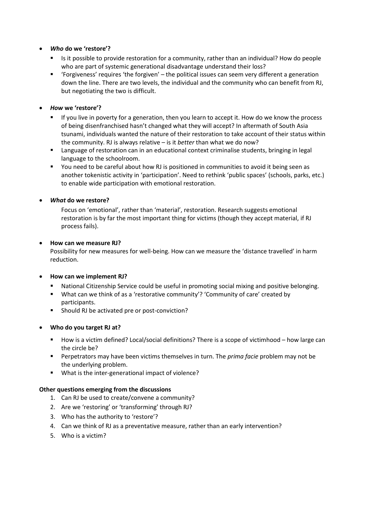#### *Who* **do we 'restore'?**

- Is it possible to provide restoration for a community, rather than an individual? How do people who are part of systemic generational disadvantage understand their loss?
- 'Forgiveness' requires 'the forgiven' the political issues can seem very different a generation down the line. There are two levels, the individual and the community who can benefit from RJ, but negotiating the two is difficult.

#### *How* **we 'restore'?**

- If you live in poverty for a generation, then you learn to accept it. How do we know the process of being disenfranchised hasn't changed what they will accept? In aftermath of South Asia tsunami, individuals wanted the nature of their restoration to take account of their status within the community. RJ is always relative – is it *better* than what we do now?
- Language of restoration can in an educational context criminalise students, bringing in legal language to the schoolroom.
- You need to be careful about how RJ is positioned in communities to avoid it being seen as another tokenistic activity in 'participation'. Need to rethink 'public spaces' (schools, parks, etc.) to enable wide participation with emotional restoration.

#### *What* **do we restore?**

Focus on 'emotional', rather than 'material', restoration. Research suggests emotional restoration is by far the most important thing for victims (though they accept material, if RJ process fails).

#### **How can we measure RJ?**

Possibility for new measures for well-being. How can we measure the 'distance travelled' in harm reduction.

#### **How can we implement RJ?**

- National Citizenship Service could be useful in promoting social mixing and positive belonging.
- What can we think of as a 'restorative community'? 'Community of care' created by participants.
- **Should RJ be activated pre or post-conviction?**

#### **Who do you target RJ at?**

- How is a victim defined? Local/social definitions? There is a scope of victimhood how large can the circle be?
- Perpetrators may have been victims themselves in turn. The *prima facie* problem may not be the underlying problem.
- What is the inter-generational impact of violence?

#### **Other questions emerging from the discussions**

- 1. Can RJ be used to create/convene a community?
- 2. Are we 'restoring' or 'transforming' through RJ?
- 3. Who has the authority to 'restore'?
- 4. Can we think of RJ as a preventative measure, rather than an early intervention?
- 5. Who is a victim?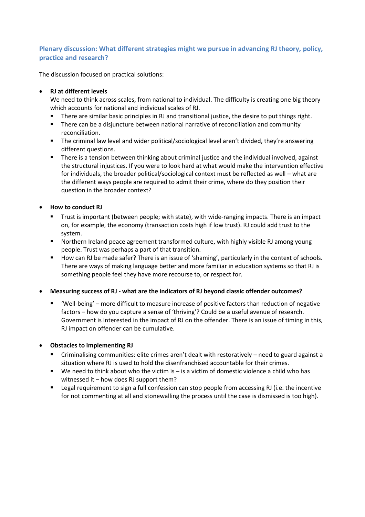## **Plenary discussion: What different strategies might we pursue in advancing RJ theory, policy, practice and research?**

The discussion focused on practical solutions:

## **RJ at different levels**

We need to think across scales, from national to individual. The difficulty is creating one big theory which accounts for national and individual scales of RJ.

- There are similar basic principles in RJ and transitional justice, the desire to put things right.
- There can be a disjuncture between national narrative of reconciliation and community reconciliation.
- The criminal law level and wider political/sociological level aren't divided, they're answering different questions.
- There is a tension between thinking about criminal justice and the individual involved, against the structural injustices. If you were to look hard at what would make the intervention effective for individuals, the broader political/sociological context must be reflected as well – what are the different ways people are required to admit their crime, where do they position their question in the broader context?

#### **How to conduct RJ**

- Trust is important (between people; with state), with wide-ranging impacts. There is an impact on, for example, the economy (transaction costs high if low trust). RJ could add trust to the system.
- Northern Ireland peace agreement transformed culture, with highly visible RJ among young people. Trust was perhaps a part of that transition.
- How can RJ be made safer? There is an issue of 'shaming', particularly in the context of schools. There are ways of making language better and more familiar in education systems so that RJ is something people feel they have more recourse to, or respect for.

**Measuring success of RJ - what are the indicators of RJ beyond classic offender outcomes?**

 'Well-being' – more difficult to measure increase of positive factors than reduction of negative factors – how do you capture a sense of 'thriving'? Could be a useful avenue of research. Government is interested in the impact of RJ on the offender. There is an issue of timing in this, RJ impact on offender can be cumulative.

#### **Obstacles to implementing RJ**

- Criminalising communities: elite crimes aren't dealt with restoratively need to guard against a situation where RJ is used to hold the disenfranchised accountable for their crimes.
- $\blacksquare$  We need to think about who the victim is is a victim of domestic violence a child who has witnessed it – how does RJ support them?
- **EXECT** Legal requirement to sign a full confession can stop people from accessing RJ (i.e. the incentive for not commenting at all and stonewalling the process until the case is dismissed is too high).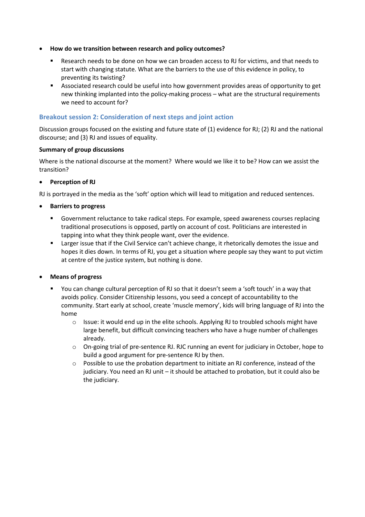- **How do we transition between research and policy outcomes?**
	- Research needs to be done on how we can broaden access to RJ for victims, and that needs to start with changing statute. What are the barriers to the use of this evidence in policy, to preventing its twisting?
	- Associated research could be useful into how government provides areas of opportunity to get new thinking implanted into the policy-making process – what are the structural requirements we need to account for?

## **Breakout session 2: Consideration of next steps and joint action**

Discussion groups focused on the existing and future state of (1) evidence for RJ; (2) RJ and the national discourse; and (3) RJ and issues of equality.

#### **Summary of group discussions**

Where is the national discourse at the moment? Where would we like it to be? How can we assist the transition?

#### **Perception of RJ**

RJ is portrayed in the media as the 'soft' option which will lead to mitigation and reduced sentences.

#### **Barriers to progress**

- Government reluctance to take radical steps. For example, speed awareness courses replacing traditional prosecutions is opposed, partly on account of cost. Politicians are interested in tapping into what they think people want, over the evidence.
- Larger issue that if the Civil Service can't achieve change, it rhetorically demotes the issue and hopes it dies down. In terms of RJ, you get a situation where people say they want to put victim at centre of the justice system, but nothing is done.

#### **Means of progress**

- You can change cultural perception of RJ so that it doesn't seem a 'soft touch' in a way that avoids policy. Consider Citizenship lessons, you seed a concept of accountability to the community. Start early at school, create 'muscle memory', kids will bring language of RJ into the home
	- $\circ$  Issue: it would end up in the elite schools. Applying RJ to troubled schools might have large benefit, but difficult convincing teachers who have a huge number of challenges already.
	- o On-going trial of pre-sentence RJ. RJC running an event for judiciary in October, hope to build a good argument for pre-sentence RJ by then.
	- o Possible to use the probation department to initiate an RJ conference, instead of the judiciary. You need an RJ unit – it should be attached to probation, but it could also be the judiciary.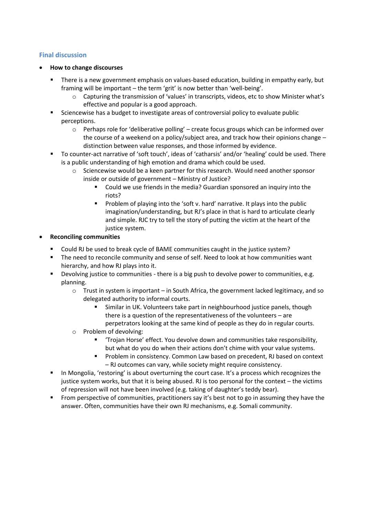## **Final discussion**

- **How to change discourses**
	- There is a new government emphasis on values-based education, building in empathy early, but framing will be important – the term 'grit' is now better than 'well-being'.
		- o Capturing the transmission of 'values' in transcripts, videos, etc to show Minister what's effective and popular is a good approach.
	- Sciencewise has a budget to investigate areas of controversial policy to evaluate public perceptions.
		- $\circ$  Perhaps role for 'deliberative polling' create focus groups which can be informed over the course of a weekend on a policy/subject area, and track how their opinions change – distinction between value responses, and those informed by evidence.
	- To counter-act narrative of 'soft touch', ideas of 'catharsis' and/or 'healing' could be used. There is a public understanding of high emotion and drama which could be used.
		- Sciencewise would be a keen partner for this research. Would need another sponsor inside or outside of government – Ministry of Justice?
			- Could we use friends in the media? Guardian sponsored an inquiry into the riots?
			- **Problem of playing into the 'soft v. hard' narrative. It plays into the public** imagination/understanding, but RJ's place in that is hard to articulate clearly and simple. RJC try to tell the story of putting the victim at the heart of the justice system.

#### **Reconciling communities**

- Could RJ be used to break cycle of BAME communities caught in the justice system?
- The need to reconcile community and sense of self. Need to look at how communities want hierarchy, and how RJ plays into it.
- **•** Devolving justice to communities there is a big push to devolve power to communities, e.g. planning.
	- $\circ$  Trust in system is important in South Africa, the government lacked legitimacy, and so delegated authority to informal courts.
		- Similar in UK. Volunteers take part in neighbourhood justice panels, though there is a question of the representativeness of the volunteers – are perpetrators looking at the same kind of people as they do in regular courts.
	- o Problem of devolving:
		- 'Trojan Horse' effect. You devolve down and communities take responsibility, but what do you do when their actions don't chime with your value systems.
		- Problem in consistency. Common Law based on precedent, RJ based on context – RJ outcomes can vary, while society might require consistency.
- In Mongolia, 'restoring' is about overturning the court case. It's a process which recognizes the justice system works, but that it is being abused. RJ is too personal for the context – the victims of repression will not have been involved (e.g. taking of daughter's teddy bear).
- From perspective of communities, practitioners say it's best not to go in assuming they have the answer. Often, communities have their own RJ mechanisms, e.g. Somali community.